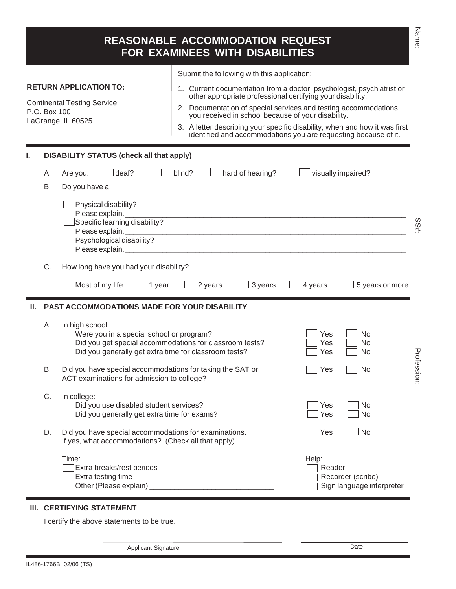|    |                 |                                                                                                                                                                                 | <b>REASONABLE ACCOMMODATION REQUEST</b><br>FOR EXAMINEES WITH DISABILITIES                                                                                      |                                                                                                                                                                                                                        | Name:    |
|----|-----------------|---------------------------------------------------------------------------------------------------------------------------------------------------------------------------------|-----------------------------------------------------------------------------------------------------------------------------------------------------------------|------------------------------------------------------------------------------------------------------------------------------------------------------------------------------------------------------------------------|----------|
|    | P.O. Box 100    | <b>RETURN APPLICATION TO:</b><br><b>Continental Testing Service</b><br>LaGrange, IL 60525                                                                                       | Submit the following with this application:<br>other appropriate professional certifying your disability.<br>you received in school because of your disability. | 1. Current documentation from a doctor, psychologist, psychiatrist or<br>2. Documentation of special services and testing accommodations<br>3. A letter describing your specific disability, when and how it was first |          |
|    |                 |                                                                                                                                                                                 |                                                                                                                                                                 | identified and accommodations you are requesting because of it.                                                                                                                                                        |          |
| ı. | А.<br><b>B.</b> | <b>DISABILITY STATUS (check all that apply)</b><br>deaf?<br>Are you:<br>Do you have a:<br>Physical disability?<br>Please explain.<br>Specific learning disability?              | blind?<br>hard of hearing?                                                                                                                                      | visually impaired?                                                                                                                                                                                                     |          |
|    |                 | Psychological disability?                                                                                                                                                       |                                                                                                                                                                 |                                                                                                                                                                                                                        | š#.      |
|    | C.              | How long have you had your disability?<br>Most of my life<br>1 year                                                                                                             | 3 years<br>2 years                                                                                                                                              | 4 years<br>5 years or more                                                                                                                                                                                             |          |
|    |                 | <b>PAST ACCOMMODATIONS MADE FOR YOUR DISABILITY</b>                                                                                                                             |                                                                                                                                                                 |                                                                                                                                                                                                                        |          |
|    | А.              | In high school:<br>Were you in a special school or program?<br>Did you get special accommodations for classroom tests?<br>Did you generally get extra time for classroom tests? |                                                                                                                                                                 | Yes<br><b>No</b><br>Yes<br><b>No</b><br>No<br>Yes                                                                                                                                                                      | 공        |
|    | В.              | Did you have special accommodations for taking the SAT or<br>ACT examinations for admission to college?                                                                         |                                                                                                                                                                 | Yes<br>No                                                                                                                                                                                                              | fession: |
|    | C.              | In college:<br>Did you use disabled student services?<br>Did you generally get extra time for exams?                                                                            |                                                                                                                                                                 | Yes<br>No<br>Yes<br>No                                                                                                                                                                                                 |          |
|    | D.              | Did you have special accommodations for examinations.<br>If yes, what accommodations? (Check all that apply)                                                                    |                                                                                                                                                                 | Yes<br><b>No</b>                                                                                                                                                                                                       |          |
|    |                 | Time:<br>Extra breaks/rest periods<br>Extra testing time<br>Other (Please explain)                                                                                              |                                                                                                                                                                 | Help:<br>Reader<br>Recorder (scribe)<br>Sign language interpreter                                                                                                                                                      |          |
|    |                 | III. CERTIFYING STATEMENT                                                                                                                                                       |                                                                                                                                                                 |                                                                                                                                                                                                                        |          |
|    |                 | I certify the above statements to be true.                                                                                                                                      |                                                                                                                                                                 |                                                                                                                                                                                                                        |          |
|    |                 | Applicant Signature                                                                                                                                                             |                                                                                                                                                                 | Date                                                                                                                                                                                                                   |          |